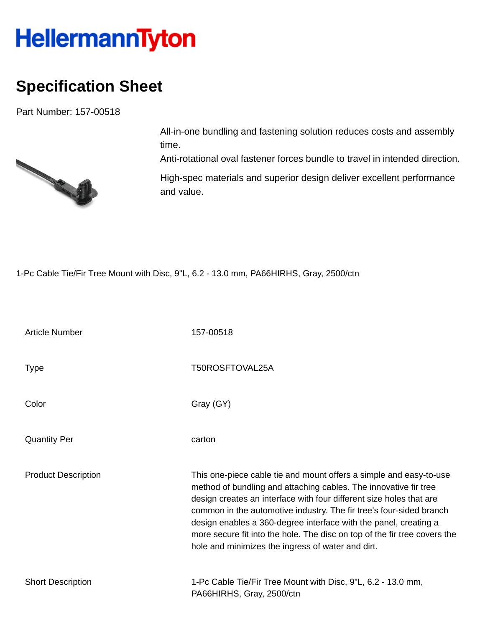## HellermannTyton

## **Specification Sheet**

Part Number: 157-00518



All-in-one bundling and fastening solution reduces costs and assembly time.

Anti-rotational oval fastener forces bundle to travel in intended direction.

High-spec materials and superior design deliver excellent performance and value.

1-Pc Cable Tie/Fir Tree Mount with Disc, 9"L, 6.2 - 13.0 mm, PA66HIRHS, Gray, 2500/ctn

| <b>Article Number</b>      | 157-00518                                                                                                                                                                                                                                                                                                                                                                                                                                                                                  |  |  |  |
|----------------------------|--------------------------------------------------------------------------------------------------------------------------------------------------------------------------------------------------------------------------------------------------------------------------------------------------------------------------------------------------------------------------------------------------------------------------------------------------------------------------------------------|--|--|--|
| Type                       | T50ROSFTOVAL25A                                                                                                                                                                                                                                                                                                                                                                                                                                                                            |  |  |  |
| Color                      | Gray (GY)                                                                                                                                                                                                                                                                                                                                                                                                                                                                                  |  |  |  |
| <b>Quantity Per</b>        | carton                                                                                                                                                                                                                                                                                                                                                                                                                                                                                     |  |  |  |
| <b>Product Description</b> | This one-piece cable tie and mount offers a simple and easy-to-use<br>method of bundling and attaching cables. The innovative fir tree<br>design creates an interface with four different size holes that are<br>common in the automotive industry. The fir tree's four-sided branch<br>design enables a 360-degree interface with the panel, creating a<br>more secure fit into the hole. The disc on top of the fir tree covers the<br>hole and minimizes the ingress of water and dirt. |  |  |  |
| <b>Short Description</b>   | 1-Pc Cable Tie/Fir Tree Mount with Disc, 9"L, 6.2 - 13.0 mm,<br>PA66HIRHS, Gray, 2500/ctn                                                                                                                                                                                                                                                                                                                                                                                                  |  |  |  |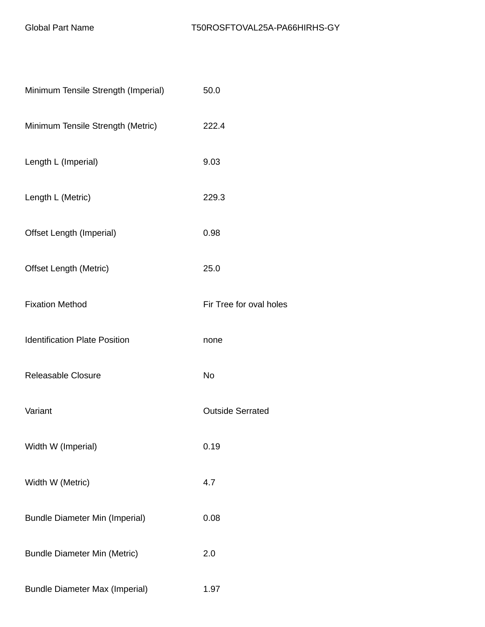| Minimum Tensile Strength (Imperial)   | 50.0                    |  |  |
|---------------------------------------|-------------------------|--|--|
| Minimum Tensile Strength (Metric)     | 222.4                   |  |  |
| Length L (Imperial)                   | 9.03                    |  |  |
| Length L (Metric)                     | 229.3                   |  |  |
| Offset Length (Imperial)              | 0.98                    |  |  |
| <b>Offset Length (Metric)</b>         | 25.0                    |  |  |
| <b>Fixation Method</b>                | Fir Tree for oval holes |  |  |
| <b>Identification Plate Position</b>  | none                    |  |  |
| <b>Releasable Closure</b>             | <b>No</b>               |  |  |
| Variant                               | <b>Outside Serrated</b> |  |  |
| Width W (Imperial)                    | 0.19                    |  |  |
| Width W (Metric)                      | 4.7                     |  |  |
| <b>Bundle Diameter Min (Imperial)</b> | 0.08                    |  |  |
| <b>Bundle Diameter Min (Metric)</b>   | 2.0                     |  |  |
| <b>Bundle Diameter Max (Imperial)</b> | 1.97                    |  |  |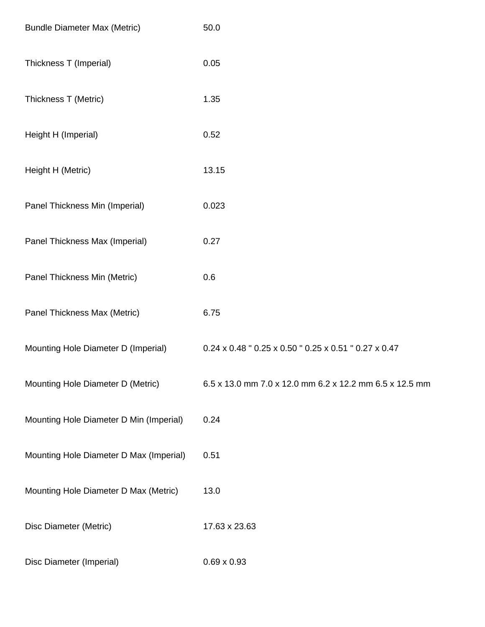| <b>Bundle Diameter Max (Metric)</b>     | 50.0                                                    |
|-----------------------------------------|---------------------------------------------------------|
| Thickness T (Imperial)                  | 0.05                                                    |
| Thickness T (Metric)                    | 1.35                                                    |
| Height H (Imperial)                     | 0.52                                                    |
| Height H (Metric)                       | 13.15                                                   |
| Panel Thickness Min (Imperial)          | 0.023                                                   |
| Panel Thickness Max (Imperial)          | 0.27                                                    |
| Panel Thickness Min (Metric)            | 0.6                                                     |
| Panel Thickness Max (Metric)            | 6.75                                                    |
| Mounting Hole Diameter D (Imperial)     | 0.24 x 0.48 " 0.25 x 0.50 " 0.25 x 0.51 " 0.27 x 0.47   |
| Mounting Hole Diameter D (Metric)       | 6.5 x 13.0 mm 7.0 x 12.0 mm 6.2 x 12.2 mm 6.5 x 12.5 mm |
| Mounting Hole Diameter D Min (Imperial) | 0.24                                                    |
| Mounting Hole Diameter D Max (Imperial) | 0.51                                                    |
| Mounting Hole Diameter D Max (Metric)   | 13.0                                                    |
| Disc Diameter (Metric)                  | 17.63 x 23.63                                           |
| Disc Diameter (Imperial)                | $0.69 \times 0.93$                                      |